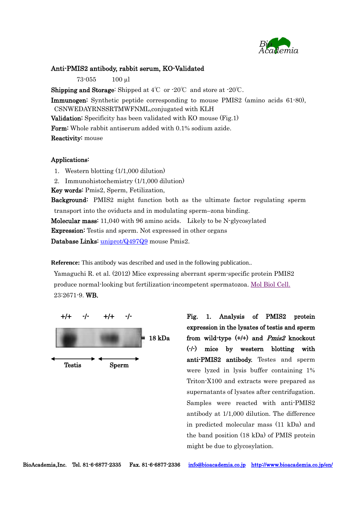

## Anti-PMIS2 antibody, rabbit serum, KO-Validated

73-055 100 µl

**Shipping and Storage:** Shipped at  $4^{\circ}\text{C}$  or  $\cdot 20^{\circ}\text{C}$  and store at  $\cdot 20^{\circ}\text{C}$ .

Immunogen: Synthetic peptide corresponding to mouse PMIS2 (amino acids 61-80), CSNWEDAYRNSSRTMWFNML,conjugated with KLH Validation: Specificity has been validated with KO mouse (Fig.1) Form: Whole rabbit antiserum added with 0.1% sodium azide. Reactivity: mouse

## Applications:

1. Western blotting (1/1,000 dilution)

2. Immunohistochemistry (1/1,000 dilution)

Key words: Pmis2, Sperm, Fetilization,

Background: PMIS2 might function both as the ultimate factor regulating sperm transport into the oviducts and in modulating sperm–zona binding. Molecular mass: 11,040 with 96 amino acids. Likely to be N-glycosylated Expression: Testis and sperm. Not expressed in other organs Database Links: [uniprot/Q497Q9](http://www.uniprot.org/uniprot/Q497Q9) mouse Pmis2.

**Reference:** This antibody was described and used in the following publication..

Yamaguchi R. et al. (2012) Mice expressing aberrant sperm-specific protein PMIS2 produce normal-looking but fertilization-incompetent spermatozoa. [Mol Biol Cell.](http://www.ncbi.nlm.nih.gov/pubmed/22621904) 23:2671-9. WB.



 3 the band position (18 kDa) of PMIS protein Fig. 1. Analysis of PMIS2 protein expression in the lysates of testis and sperm from wild-type  $(+/+)$  and *Pmis2* knockout (-/-) mice by western blotting with anti-PMIS2 antibody. Testes and sperm were lyzed in lysis buffer containing 1% Triton-X100 and extracts were prepared as supernatants of lysates after centrifugation. Samples were reacted with anti-PMIS2 antibody at 1/1,000 dilution. The difference in predicted molecular mass (11 kDa) and might be due to glycosylation.